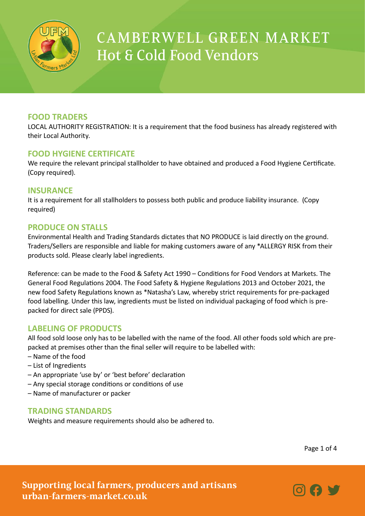

## **FOOD TRADERS**

LOCAL AUTHORITY REGISTRATION: It is a requirement that the food business has already registered with their Local Authority.

#### **FOOD HYGIENE CERTIFICATE**

We require the relevant principal stallholder to have obtained and produced a Food Hygiene Certificate. (Copy required).

### **INSURANCE**

It is a requirement for all stallholders to possess both public and produce liability insurance. (Copy required)

### **PRODUCE ON STALLS**

Environmental Health and Trading Standards dictates that NO PRODUCE is laid directly on the ground. Traders/Sellers are responsible and liable for making customers aware of any \*ALLERGY RISK from their products sold. Please clearly label ingredients.

Reference: can be made to the Food & Safety Act 1990 – Conditions for Food Vendors at Markets. The General Food Regulations 2004. The Food Safety & Hygiene Regulations 2013 and October 2021, the new food Safety Regulations known as \*Natasha's Law, whereby strict requirements for pre-packaged food labelling. Under this law, ingredients must be listed on individual packaging of food which is prepacked for direct sale (PPDS).

### **LABELING OF PRODUCTS**

All food sold loose only has to be labelled with the name of the food. All other foods sold which are prepacked at premises other than the final seller will require to be labelled with:

- Name of the food
- List of Ingredients
- An appropriate 'use by' or 'best before' declaration
- Any special storage conditions or conditions of use
- Name of manufacturer or packer

### **TRADING STANDARDS**

Weights and measure requirements should also be adhered to.

Page 1 of 4

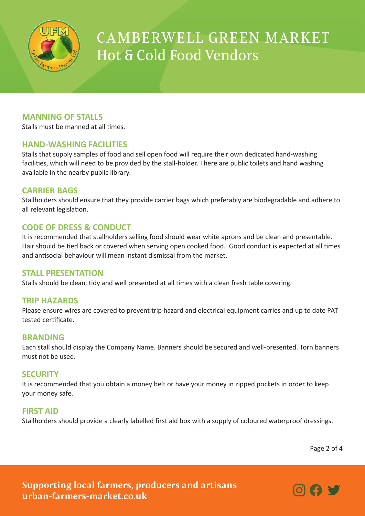

## **MANNING OF STALLS**

Stalls must be manned at all times.

### **HAND-WASHING FACILITIES**

Stalls that supply samples of food and sell open food will require their own dedicated hand-washing facilities, which will need to be provided by the stall-holder. There are public toilets and hand washing available in the nearby public library.

## **CARRIER BAGS**

Stallholders should ensure that they provide carrier bags which preferably are biodegradable and adhere to all relevant legislation.

## **CODE OF DRESS & CONDUCT**

It is recommended that stallholders selling food should wear white aprons and be clean and presentable. Hair should be tied back or covered when serving open cooked food. Good conduct is expected at all times and antisocial behaviour will mean instant dismissal from the market.

### **STALL PRESENTATION**

Stalls should be clean, tidy and well presented at all times with a clean fresh table covering.

### **TRIP HAZARDS**

Please ensure wires are covered to prevent trip hazard and electrical equipment carries and up to date PAT tested certificate.

### **BRANDING**

Each stall should display the Company Name. Banners should be secured and well-presented. Torn banners must not be used.

### **SECURITY**

It is recommended that you obtain a money belt or have your money in zipped pockets in order to keep your money safe.

### **FIRST AID**

Stallholders should provide a clearly labelled first aid box with a supply of coloured waterproof dressings.

Page 2 of 4

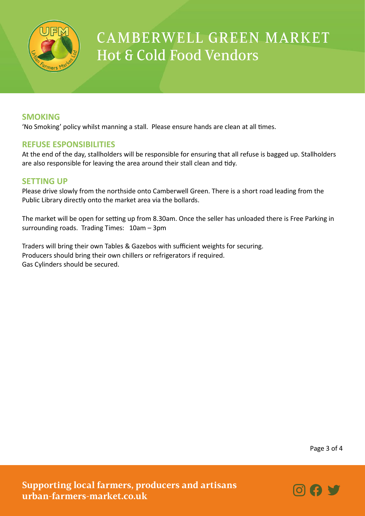

#### **SMOKING**

'No Smoking' policy whilst manning a stall. Please ensure hands are clean at all times.

#### **REFUSE ESPONSIBILITIES**

At the end of the day, stallholders will be responsible for ensuring that all refuse is bagged up. Stallholders are also responsible for leaving the area around their stall clean and tidy.

#### **SETTING UP**

Please drive slowly from the northside onto Camberwell Green. There is a short road leading from the Public Library directly onto the market area via the bollards.

The market will be open for setting up from 8.30am. Once the seller has unloaded there is Free Parking in surrounding roads. Trading Times: 10am – 3pm

Traders will bring their own Tables & Gazebos with sufficient weights for securing. Producers should bring their own chillers or refrigerators if required. Gas Cylinders should be secured.

Page 3 of 4